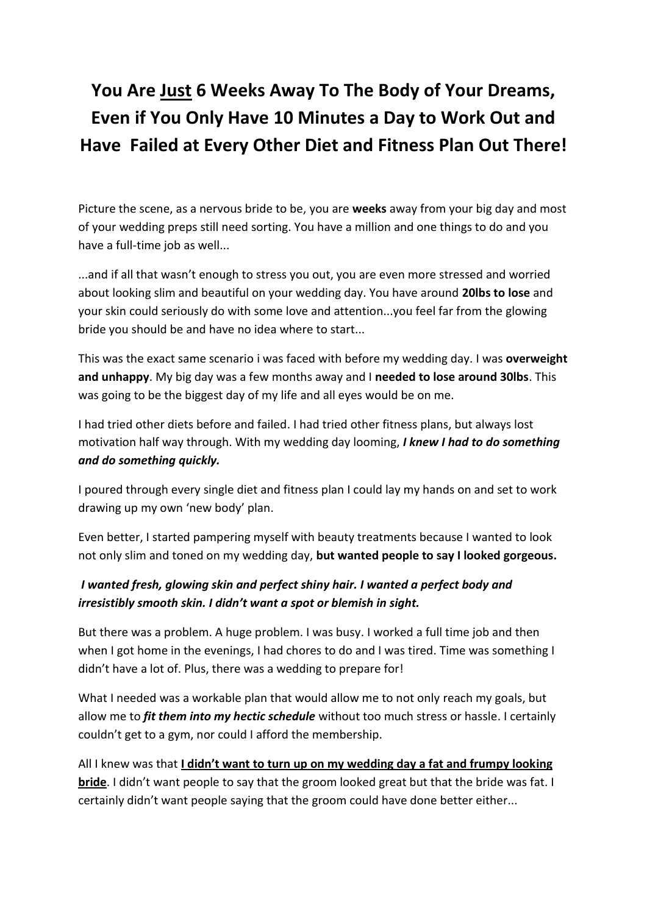# **You Are Just 6 Weeks Away To The Body of Your Dreams, Even if You Only Have 10 Minutes a Day to Work Out and Have Failed at Every Other Diet and Fitness Plan Out There!**

Picture the scene, as a nervous bride to be, you are **weeks** away from your big day and most of your wedding preps still need sorting. You have a million and one things to do and you have a full-time job as well...

...and if all that wasn't enough to stress you out, you are even more stressed and worried about looking slim and beautiful on your wedding day. You have around **20lbs to lose** and your skin could seriously do with some love and attention...you feel far from the glowing bride you should be and have no idea where to start...

This was the exact same scenario i was faced with before my wedding day. I was **overweight and unhappy**. My big day was a few months away and I **needed to lose around 30lbs**. This was going to be the biggest day of my life and all eyes would be on me.

I had tried other diets before and failed. I had tried other fitness plans, but always lost motivation half way through. With my wedding day looming, *I knew I had to do something and do something quickly.*

I poured through every single diet and fitness plan I could lay my hands on and set to work drawing up my own 'new body' plan.

Even better, I started pampering myself with beauty treatments because I wanted to look not only slim and toned on my wedding day, **but wanted people to say I looked gorgeous.**

#### *I wanted fresh, glowing skin and perfect shiny hair. I wanted a perfect body and irresistibly smooth skin. I didn't want a spot or blemish in sight.*

But there was a problem. A huge problem. I was busy. I worked a full time job and then when I got home in the evenings, I had chores to do and I was tired. Time was something I didn't have a lot of. Plus, there was a wedding to prepare for!

What I needed was a workable plan that would allow me to not only reach my goals, but allow me to *fit them into my hectic schedule* without too much stress or hassle. I certainly couldn't get to a gym, nor could I afford the membership.

All I knew was that **I didn't want to turn up on my wedding day a fat and frumpy looking bride**. I didn't want people to say that the groom looked great but that the bride was fat. I certainly didn't want people saying that the groom could have done better either...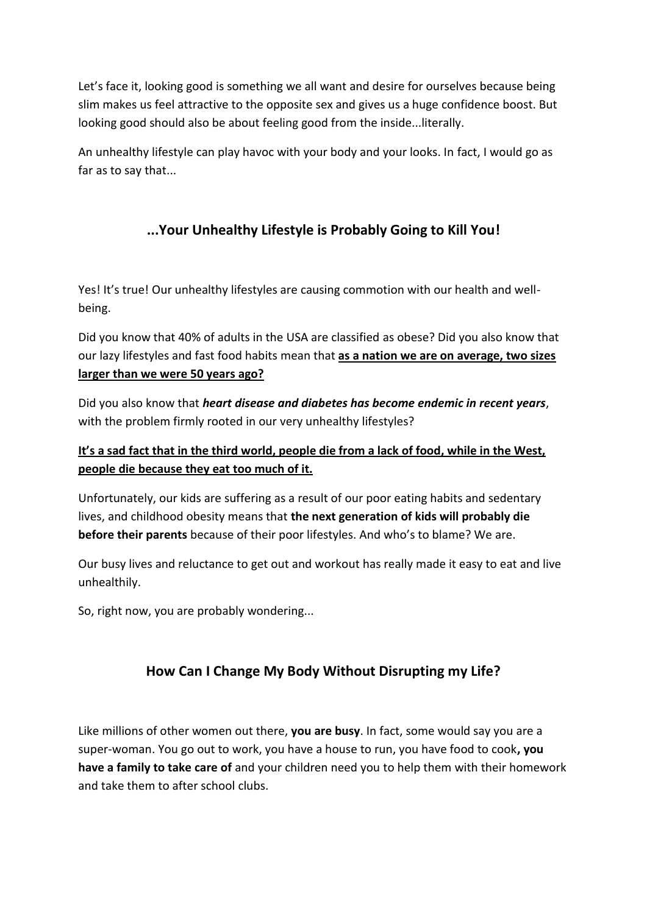Let's face it, looking good is something we all want and desire for ourselves because being slim makes us feel attractive to the opposite sex and gives us a huge confidence boost. But looking good should also be about feeling good from the inside...literally.

An unhealthy lifestyle can play havoc with your body and your looks. In fact, I would go as far as to say that...

# **...Your Unhealthy Lifestyle is Probably Going to Kill You!**

Yes! It's true! Our unhealthy lifestyles are causing commotion with our health and wellbeing.

Did you know that 40% of adults in the USA are classified as obese? Did you also know that our lazy lifestyles and fast food habits mean that **as a nation we are on average, two sizes larger than we were 50 years ago?** 

Did you also know that *heart disease and diabetes has become endemic in recent years*, with the problem firmly rooted in our very unhealthy lifestyles?

#### **It's a sad fact that in the third world, people die from a lack of food, while in the West, people die because they eat too much of it.**

Unfortunately, our kids are suffering as a result of our poor eating habits and sedentary lives, and childhood obesity means that **the next generation of kids will probably die before their parents** because of their poor lifestyles. And who's to blame? We are.

Our busy lives and reluctance to get out and workout has really made it easy to eat and live unhealthily.

So, right now, you are probably wondering...

# **How Can I Change My Body Without Disrupting my Life?**

Like millions of other women out there, **you are busy**. In fact, some would say you are a super-woman. You go out to work, you have a house to run, you have food to cook**, you have a family to take care of** and your children need you to help them with their homework and take them to after school clubs.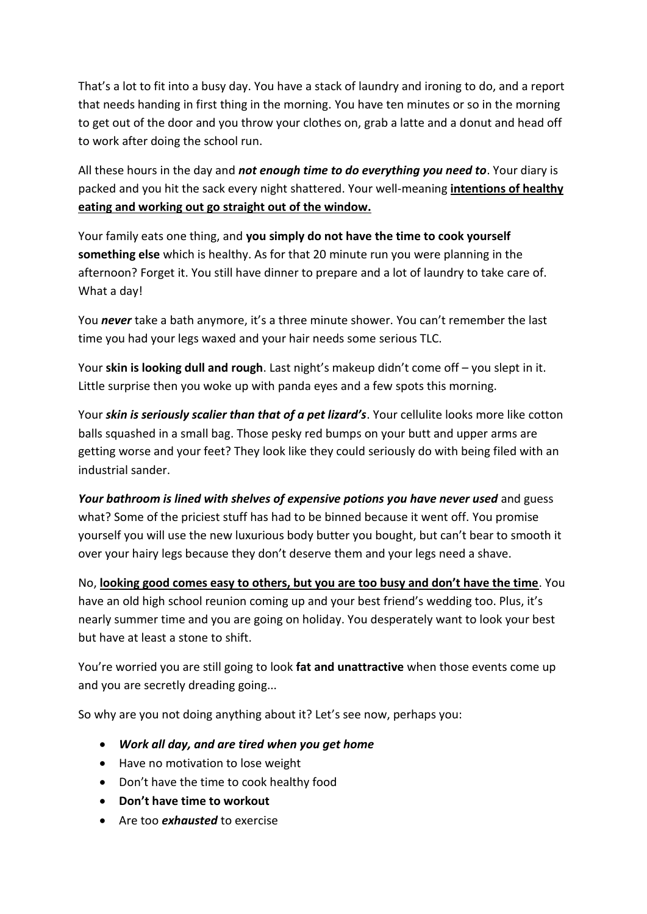That's a lot to fit into a busy day. You have a stack of laundry and ironing to do, and a report that needs handing in first thing in the morning. You have ten minutes or so in the morning to get out of the door and you throw your clothes on, grab a latte and a donut and head off to work after doing the school run.

All these hours in the day and *not enough time to do everything you need to*. Your diary is packed and you hit the sack every night shattered. Your well-meaning **intentions of healthy eating and working out go straight out of the window.**

Your family eats one thing, and **you simply do not have the time to cook yourself something else** which is healthy. As for that 20 minute run you were planning in the afternoon? Forget it. You still have dinner to prepare and a lot of laundry to take care of. What a day!

You *never* take a bath anymore, it's a three minute shower. You can't remember the last time you had your legs waxed and your hair needs some serious TLC.

Your **skin is looking dull and rough**. Last night's makeup didn't come off – you slept in it. Little surprise then you woke up with panda eyes and a few spots this morning.

Your *skin is seriously scalier than that of a pet lizard's*. Your cellulite looks more like cotton balls squashed in a small bag. Those pesky red bumps on your butt and upper arms are getting worse and your feet? They look like they could seriously do with being filed with an industrial sander.

*Your bathroom is lined with shelves of expensive potions you have never used* and guess what? Some of the priciest stuff has had to be binned because it went off. You promise yourself you will use the new luxurious body butter you bought, but can't bear to smooth it over your hairy legs because they don't deserve them and your legs need a shave.

No, **looking good comes easy to others, but you are too busy and don't have the time**. You have an old high school reunion coming up and your best friend's wedding too. Plus, it's nearly summer time and you are going on holiday. You desperately want to look your best but have at least a stone to shift.

You're worried you are still going to look **fat and unattractive** when those events come up and you are secretly dreading going...

So why are you not doing anything about it? Let's see now, perhaps you:

- *Work all day, and are tired when you get home*
- Have no motivation to lose weight
- Don't have the time to cook healthy food
- **•** Don't have time to workout
- Are too *exhausted* to exercise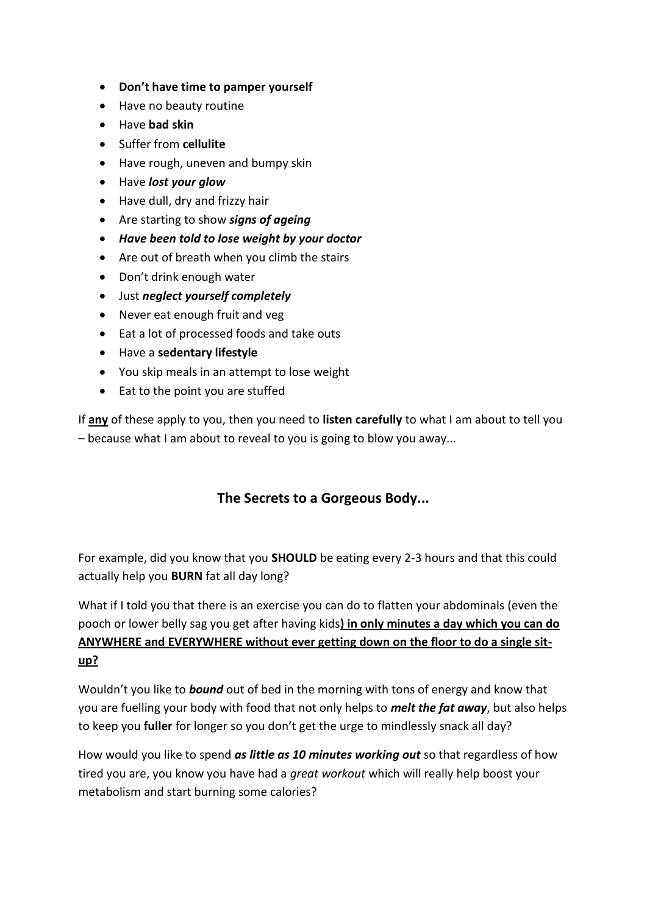- **Don't have time to pamper yourself**
- Have no beauty routine
- Have **bad skin**
- Suffer from **cellulite**
- Have rough, uneven and bumpy skin
- Have *lost your glow*
- Have dull, dry and frizzy hair
- Are starting to show *signs of ageing*
- *Have been told to lose weight by your doctor*
- Are out of breath when you climb the stairs
- Don't drink enough water
- Just *neglect yourself completely*
- Never eat enough fruit and veg
- Eat a lot of processed foods and take outs
- Have a **sedentary lifestyle**
- You skip meals in an attempt to lose weight
- Eat to the point you are stuffed

If **any** of these apply to you, then you need to **listen carefully** to what I am about to tell you – because what I am about to reveal to you is going to blow you away...

## **The Secrets to a Gorgeous Body...**

For example, did you know that you **SHOULD** be eating every 2-3 hours and that this could actually help you **BURN** fat all day long?

What if I told you that there is an exercise you can do to flatten your abdominals (even the pooch or lower belly sag you get after having kids**) in only minutes a day which you can do ANYWHERE and EVERYWHERE without ever getting down on the floor to do a single situp?**

Wouldn't you like to *bound* out of bed in the morning with tons of energy and know that you are fuelling your body with food that not only helps to *melt the fat away*, but also helps to keep you **fuller** for longer so you don't get the urge to mindlessly snack all day?

How would you like to spend *as little as 10 minutes working out* so that regardless of how tired you are, you know you have had a *great workout* which will really help boost your metabolism and start burning some calories?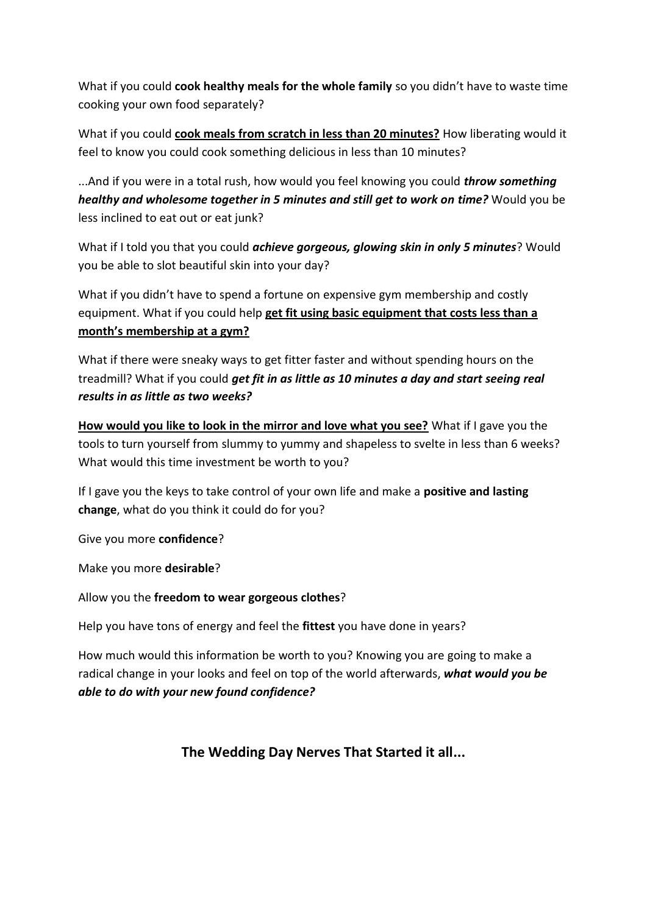What if you could **cook healthy meals for the whole family** so you didn't have to waste time cooking your own food separately?

What if you could **cook meals from scratch in less than 20 minutes?** How liberating would it feel to know you could cook something delicious in less than 10 minutes?

...And if you were in a total rush, how would you feel knowing you could *throw something healthy and wholesome together in 5 minutes and still get to work on time?* Would you be less inclined to eat out or eat junk?

What if I told you that you could *achieve gorgeous, glowing skin in only 5 minutes*? Would you be able to slot beautiful skin into your day?

What if you didn't have to spend a fortune on expensive gym membership and costly equipment. What if you could help **get fit using basic equipment that costs less than a month's membership at a gym?**

What if there were sneaky ways to get fitter faster and without spending hours on the treadmill? What if you could *get fit in as little as 10 minutes a day and start seeing real results in as little as two weeks?*

**How would you like to look in the mirror and love what you see?** What if I gave you the tools to turn yourself from slummy to yummy and shapeless to svelte in less than 6 weeks? What would this time investment be worth to you?

If I gave you the keys to take control of your own life and make a **positive and lasting change**, what do you think it could do for you?

Give you more **confidence**?

Make you more **desirable**?

Allow you the **freedom to wear gorgeous clothes**?

Help you have tons of energy and feel the **fittest** you have done in years?

How much would this information be worth to you? Knowing you are going to make a radical change in your looks and feel on top of the world afterwards, *what would you be able to do with your new found confidence?*

## **The Wedding Day Nerves That Started it all...**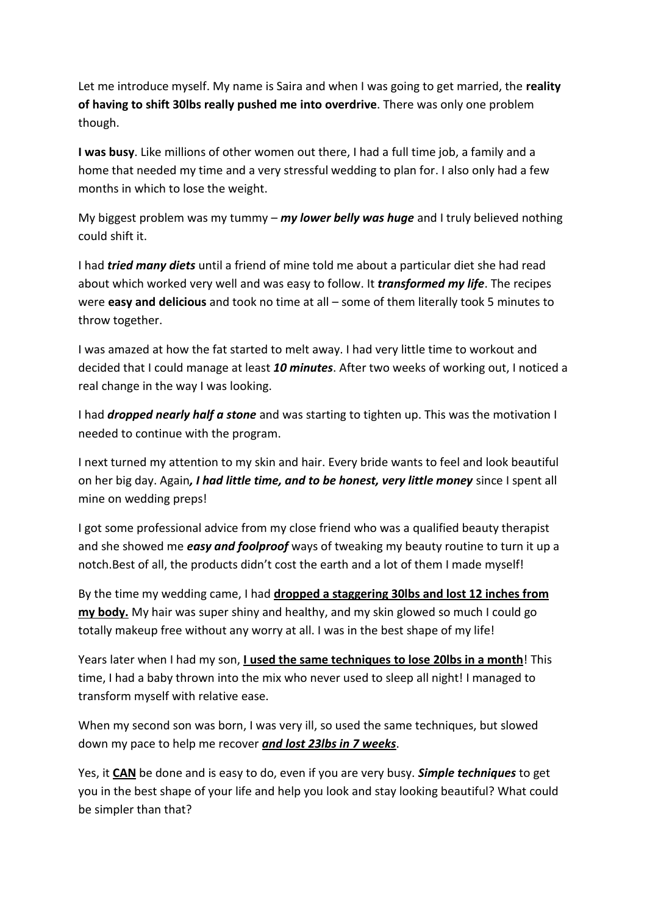Let me introduce myself. My name is Saira and when I was going to get married, the **reality of having to shift 30lbs really pushed me into overdrive**. There was only one problem though.

**I was busy**. Like millions of other women out there, I had a full time job, a family and a home that needed my time and a very stressful wedding to plan for. I also only had a few months in which to lose the weight.

My biggest problem was my tummy – *my lower belly was huge* and I truly believed nothing could shift it.

I had *tried many diets* until a friend of mine told me about a particular diet she had read about which worked very well and was easy to follow. It *transformed my life*. The recipes were **easy and delicious** and took no time at all – some of them literally took 5 minutes to throw together.

I was amazed at how the fat started to melt away. I had very little time to workout and decided that I could manage at least *10 minutes*. After two weeks of working out, I noticed a real change in the way I was looking.

I had *dropped nearly half a stone* and was starting to tighten up. This was the motivation I needed to continue with the program.

I next turned my attention to my skin and hair. Every bride wants to feel and look beautiful on her big day. Again*, I had little time, and to be honest, very little money* since I spent all mine on wedding preps!

I got some professional advice from my close friend who was a qualified beauty therapist and she showed me *easy and foolproof* ways of tweaking my beauty routine to turn it up a notch.Best of all, the products didn't cost the earth and a lot of them I made myself!

By the time my wedding came, I had **dropped a staggering 30lbs and lost 12 inches from my body.** My hair was super shiny and healthy, and my skin glowed so much I could go totally makeup free without any worry at all. I was in the best shape of my life!

Years later when I had my son, **I used the same techniques to lose 20lbs in a month**! This time, I had a baby thrown into the mix who never used to sleep all night! I managed to transform myself with relative ease.

When my second son was born, I was very ill, so used the same techniques, but slowed down my pace to help me recover *and lost 23lbs in 7 weeks*.

Yes, it **CAN** be done and is easy to do, even if you are very busy. *Simple techniques* to get you in the best shape of your life and help you look and stay looking beautiful? What could be simpler than that?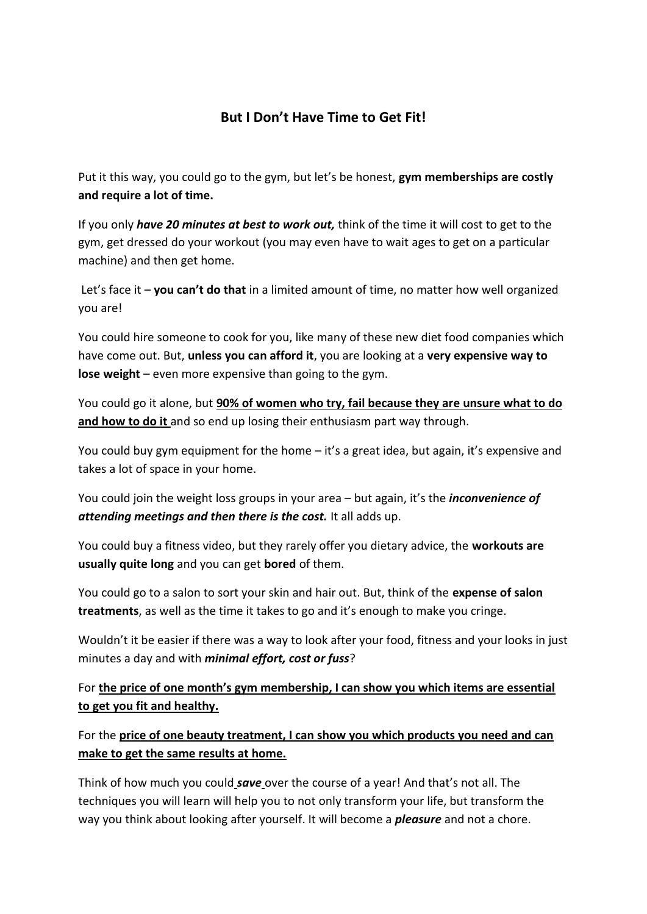## **But I Don't Have Time to Get Fit!**

Put it this way, you could go to the gym, but let's be honest, **gym memberships are costly and require a lot of time.**

If you only *have 20 minutes at best to work out,* think of the time it will cost to get to the gym, get dressed do your workout (you may even have to wait ages to get on a particular machine) and then get home.

Let's face it – **you can't do that** in a limited amount of time, no matter how well organized you are!

You could hire someone to cook for you, like many of these new diet food companies which have come out. But, **unless you can afford it**, you are looking at a **very expensive way to lose weight** – even more expensive than going to the gym.

You could go it alone, but **90% of women who try, fail because they are unsure what to do and how to do it** and so end up losing their enthusiasm part way through.

You could buy gym equipment for the home – it's a great idea, but again, it's expensive and takes a lot of space in your home.

You could join the weight loss groups in your area – but again, it's the *inconvenience of attending meetings and then there is the cost.* It all adds up.

You could buy a fitness video, but they rarely offer you dietary advice, the **workouts are usually quite long** and you can get **bored** of them.

You could go to a salon to sort your skin and hair out. But, think of the **expense of salon treatments**, as well as the time it takes to go and it's enough to make you cringe.

Wouldn't it be easier if there was a way to look after your food, fitness and your looks in just minutes a day and with *minimal effort, cost or fuss*?

For **the price of one month's gym membership, I can show you which items are essential to get you fit and healthy.** 

For the **price of one beauty treatment, I can show you which products you need and can make to get the same results at home.** 

Think of how much you could *save* over the course of a year! And that's not all. The techniques you will learn will help you to not only transform your life, but transform the way you think about looking after yourself. It will become a *pleasure* and not a chore.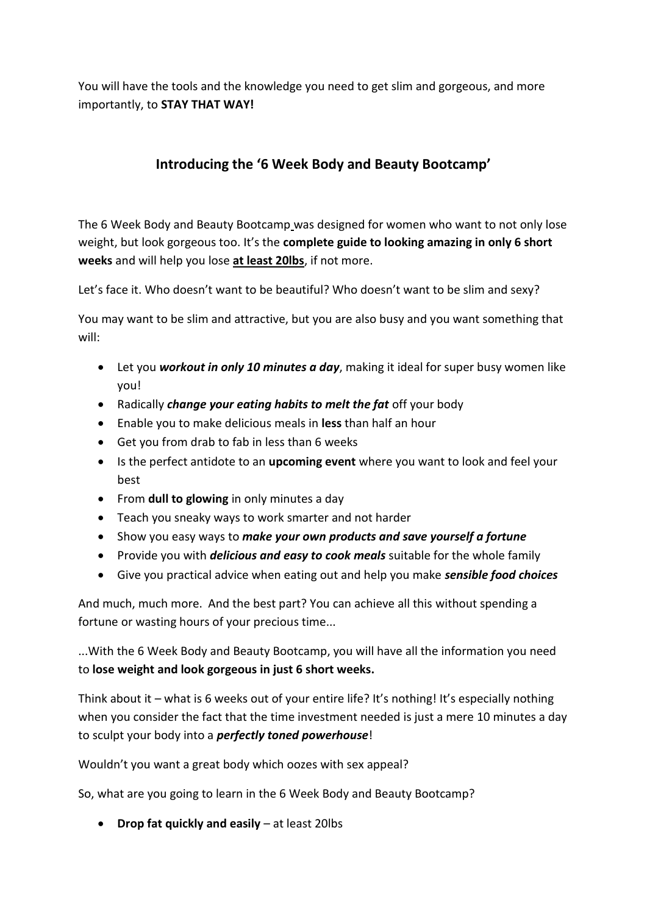You will have the tools and the knowledge you need to get slim and gorgeous, and more importantly, to **STAY THAT WAY!**

# **Introducing the '6 Week Body and Beauty Bootcamp'**

The 6 Week Body and Beauty Bootcamp was designed for women who want to not only lose weight, but look gorgeous too. It's the **complete guide to looking amazing in only 6 short weeks** and will help you lose **at least 20lbs**, if not more.

Let's face it. Who doesn't want to be beautiful? Who doesn't want to be slim and sexy?

You may want to be slim and attractive, but you are also busy and you want something that will:

- Let you *workout in only 10 minutes a day*, making it ideal for super busy women like you!
- Radically *change your eating habits to melt the fat* off your body
- Enable you to make delicious meals in **less** than half an hour
- Get you from drab to fab in less than 6 weeks
- Is the perfect antidote to an **upcoming event** where you want to look and feel your best
- From **dull to glowing** in only minutes a day
- Teach you sneaky ways to work smarter and not harder
- Show you easy ways to *make your own products and save yourself a fortune*
- Provide you with *delicious and easy to cook meals* suitable for the whole family
- Give you practical advice when eating out and help you make *sensible food choices*

And much, much more. And the best part? You can achieve all this without spending a fortune or wasting hours of your precious time...

...With the 6 Week Body and Beauty Bootcamp, you will have all the information you need to **lose weight and look gorgeous in just 6 short weeks.** 

Think about it – what is 6 weeks out of your entire life? It's nothing! It's especially nothing when you consider the fact that the time investment needed is just a mere 10 minutes a day to sculpt your body into a *perfectly toned powerhouse*!

Wouldn't you want a great body which oozes with sex appeal?

So, what are you going to learn in the 6 Week Body and Beauty Bootcamp?

**Drop fat quickly and easily** – at least 20lbs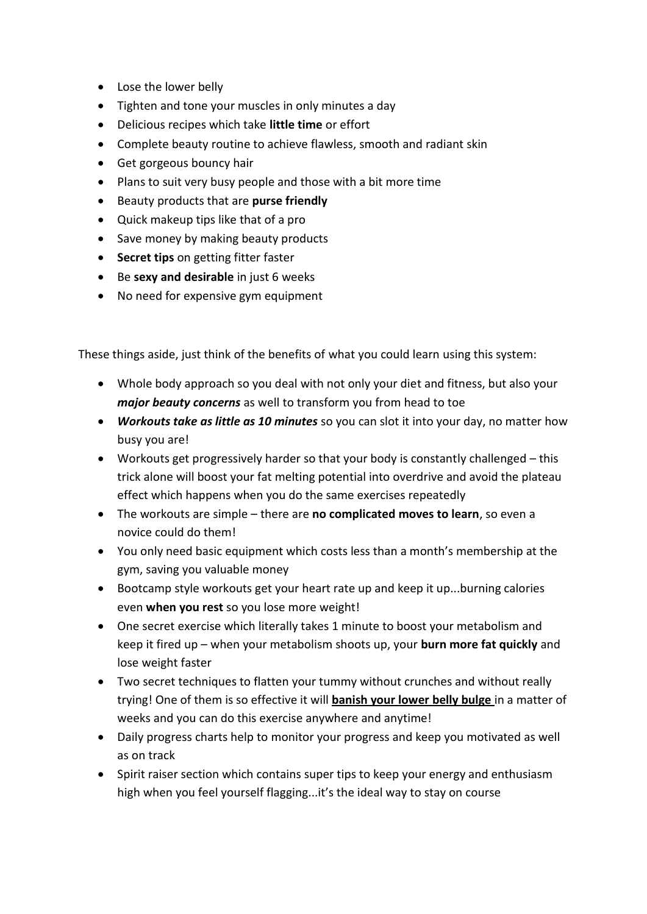- Lose the lower belly
- Tighten and tone your muscles in only minutes a day
- Delicious recipes which take **little time** or effort
- Complete beauty routine to achieve flawless, smooth and radiant skin
- Get gorgeous bouncy hair
- Plans to suit very busy people and those with a bit more time
- Beauty products that are **purse friendly**
- Quick makeup tips like that of a pro
- Save money by making beauty products
- **Secret tips** on getting fitter faster
- Be **sexy and desirable** in just 6 weeks
- No need for expensive gym equipment

These things aside, just think of the benefits of what you could learn using this system:

- Whole body approach so you deal with not only your diet and fitness, but also your *major beauty concerns* as well to transform you from head to toe
- *Workouts take as little as 10 minutes* so you can slot it into your day, no matter how busy you are!
- Workouts get progressively harder so that your body is constantly challenged this trick alone will boost your fat melting potential into overdrive and avoid the plateau effect which happens when you do the same exercises repeatedly
- The workouts are simple there are **no complicated moves to learn**, so even a novice could do them!
- You only need basic equipment which costs less than a month's membership at the gym, saving you valuable money
- Bootcamp style workouts get your heart rate up and keep it up...burning calories even **when you rest** so you lose more weight!
- One secret exercise which literally takes 1 minute to boost your metabolism and keep it fired up – when your metabolism shoots up, your **burn more fat quickly** and lose weight faster
- Two secret techniques to flatten your tummy without crunches and without really trying! One of them is so effective it will **banish your lower belly bulge** in a matter of weeks and you can do this exercise anywhere and anytime!
- Daily progress charts help to monitor your progress and keep you motivated as well as on track
- Spirit raiser section which contains super tips to keep your energy and enthusiasm high when you feel yourself flagging...it's the ideal way to stay on course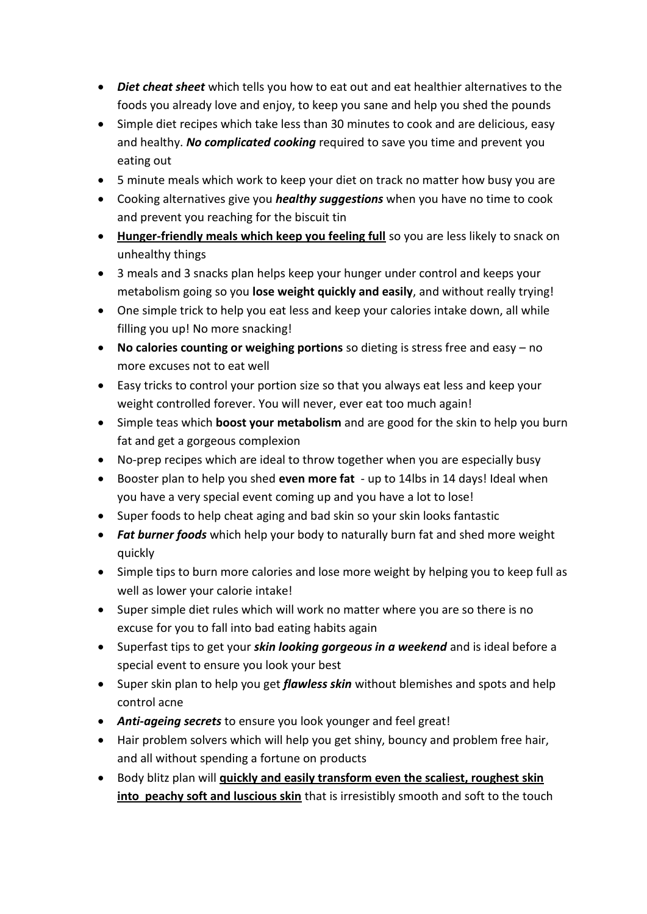- *Diet cheat sheet* which tells you how to eat out and eat healthier alternatives to the foods you already love and enjoy, to keep you sane and help you shed the pounds
- Simple diet recipes which take less than 30 minutes to cook and are delicious, easy and healthy. *No complicated cooking* required to save you time and prevent you eating out
- 5 minute meals which work to keep your diet on track no matter how busy you are
- Cooking alternatives give you *healthy suggestions* when you have no time to cook and prevent you reaching for the biscuit tin
- **Hunger-friendly meals which keep you feeling full** so you are less likely to snack on unhealthy things
- 3 meals and 3 snacks plan helps keep your hunger under control and keeps your metabolism going so you **lose weight quickly and easily**, and without really trying!
- One simple trick to help you eat less and keep your calories intake down, all while filling you up! No more snacking!
- **No calories counting or weighing portions** so dieting is stress free and easy no more excuses not to eat well
- Easy tricks to control your portion size so that you always eat less and keep your weight controlled forever. You will never, ever eat too much again!
- Simple teas which **boost your metabolism** and are good for the skin to help you burn fat and get a gorgeous complexion
- No-prep recipes which are ideal to throw together when you are especially busy
- Booster plan to help you shed **even more fat** up to 14lbs in 14 days! Ideal when you have a very special event coming up and you have a lot to lose!
- Super foods to help cheat aging and bad skin so your skin looks fantastic
- *Fat burner foods* which help your body to naturally burn fat and shed more weight quickly
- Simple tips to burn more calories and lose more weight by helping you to keep full as well as lower your calorie intake!
- Super simple diet rules which will work no matter where you are so there is no excuse for you to fall into bad eating habits again
- Superfast tips to get your *skin looking gorgeous in a weekend* and is ideal before a special event to ensure you look your best
- Super skin plan to help you get *flawless skin* without blemishes and spots and help control acne
- *Anti-ageing secrets* to ensure you look younger and feel great!
- Hair problem solvers which will help you get shiny, bouncy and problem free hair, and all without spending a fortune on products
- **•** Body blitz plan will **quickly and easily transform even the scaliest, roughest skin into peachy soft and luscious skin** that is irresistibly smooth and soft to the touch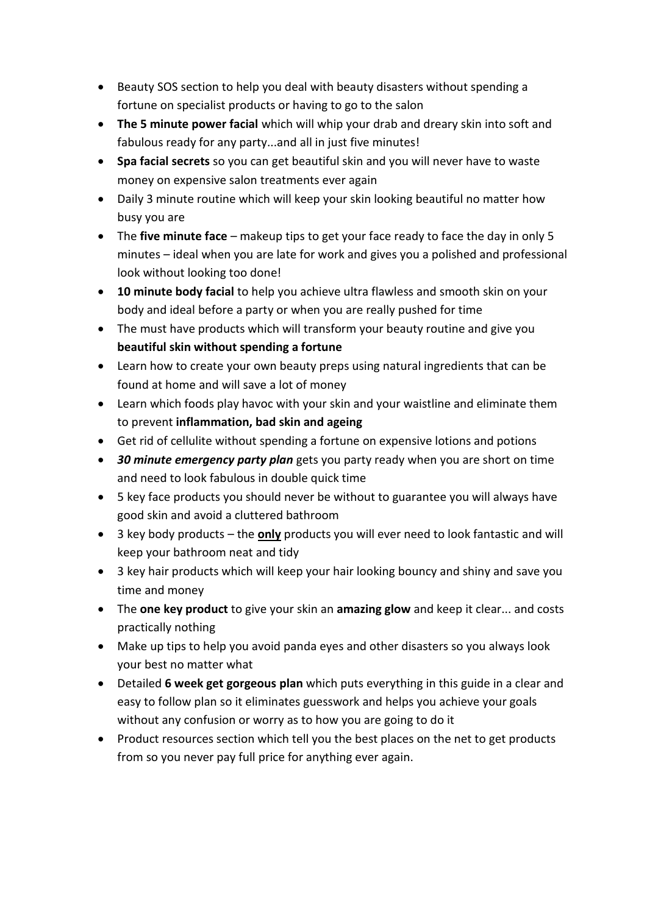- Beauty SOS section to help you deal with beauty disasters without spending a fortune on specialist products or having to go to the salon
- **The 5 minute power facial** which will whip your drab and dreary skin into soft and fabulous ready for any party...and all in just five minutes!
- **Spa facial secrets** so you can get beautiful skin and you will never have to waste money on expensive salon treatments ever again
- Daily 3 minute routine which will keep your skin looking beautiful no matter how busy you are
- The **five minute face** makeup tips to get your face ready to face the day in only 5 minutes – ideal when you are late for work and gives you a polished and professional look without looking too done!
- **10 minute body facial** to help you achieve ultra flawless and smooth skin on your body and ideal before a party or when you are really pushed for time
- The must have products which will transform your beauty routine and give you **beautiful skin without spending a fortune**
- Learn how to create your own beauty preps using natural ingredients that can be found at home and will save a lot of money
- Learn which foods play havoc with your skin and your waistline and eliminate them to prevent **inflammation, bad skin and ageing**
- Get rid of cellulite without spending a fortune on expensive lotions and potions
- **30 minute emergency party plan** gets you party ready when you are short on time and need to look fabulous in double quick time
- 5 key face products you should never be without to guarantee you will always have good skin and avoid a cluttered bathroom
- 3 key body products the **only** products you will ever need to look fantastic and will keep your bathroom neat and tidy
- 3 key hair products which will keep your hair looking bouncy and shiny and save you time and money
- The **one key product** to give your skin an **amazing glow** and keep it clear... and costs practically nothing
- Make up tips to help you avoid panda eyes and other disasters so you always look your best no matter what
- Detailed **6 week get gorgeous plan** which puts everything in this guide in a clear and easy to follow plan so it eliminates guesswork and helps you achieve your goals without any confusion or worry as to how you are going to do it
- Product resources section which tell you the best places on the net to get products from so you never pay full price for anything ever again.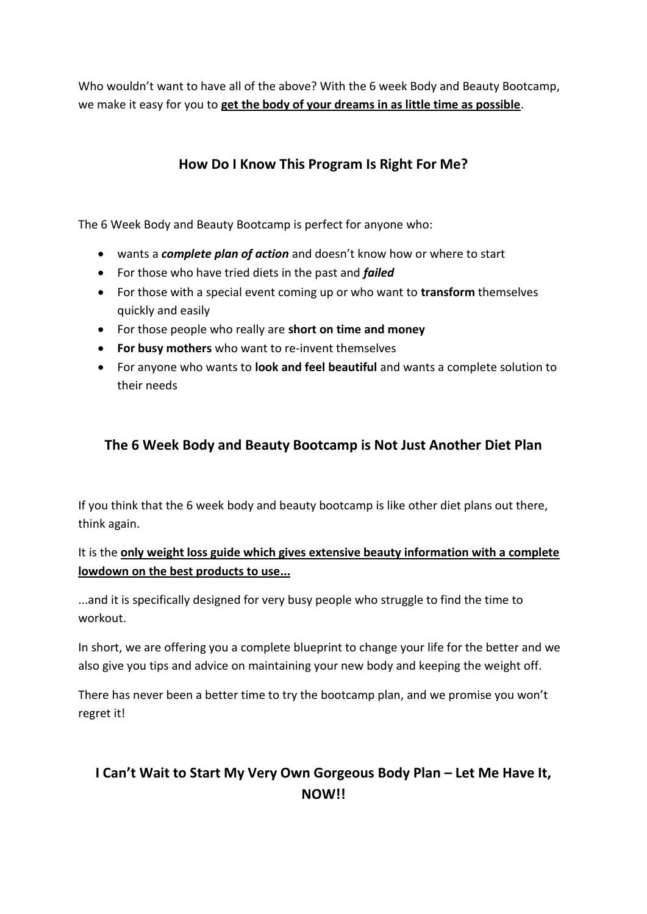Who wouldn't want to have all of the above? With the 6 week Body and Beauty Bootcamp, we make it easy for you to **get the body of your dreams in as little time as possible**.

# **How Do I Know This Program Is Right For Me?**

The 6 Week Body and Beauty Bootcamp is perfect for anyone who:

- wants a *complete plan of action* and doesn't know how or where to start
- For those who have tried diets in the past and *failed*
- For those with a special event coming up or who want to **transform** themselves quickly and easily
- For those people who really are **short on time and money**
- **For busy mothers** who want to re-invent themselves
- For anyone who wants to **look and feel beautiful** and wants a complete solution to their needs

## **The 6 Week Body and Beauty Bootcamp is Not Just Another Diet Plan**

If you think that the 6 week body and beauty bootcamp is like other diet plans out there, think again.

#### It is the **only weight loss guide which gives extensive beauty information with a complete lowdown on the best products to use...**

...and it is specifically designed for very busy people who struggle to find the time to workout.

In short, we are offering you a complete blueprint to change your life for the better and we also give you tips and advice on maintaining your new body and keeping the weight off.

There has never been a better time to try the bootcamp plan, and we promise you won't regret it!

# **I Can't Wait to Start My Very Own Gorgeous Body Plan – Let Me Have It, NOW!!**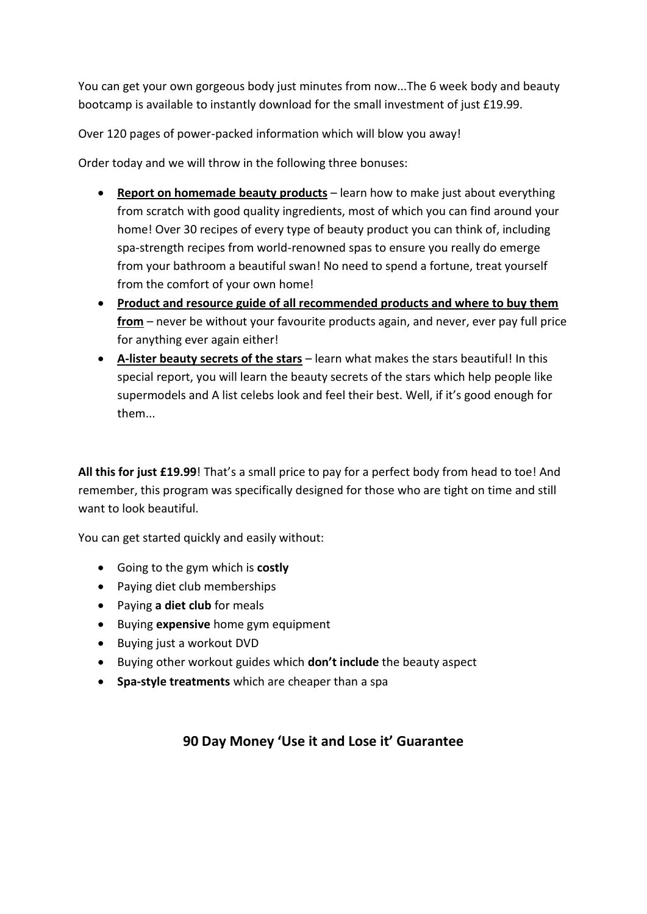You can get your own gorgeous body just minutes from now...The 6 week body and beauty bootcamp is available to instantly download for the small investment of just £19.99.

Over 120 pages of power-packed information which will blow you away!

Order today and we will throw in the following three bonuses:

- **Report on homemade beauty products** learn how to make just about everything from scratch with good quality ingredients, most of which you can find around your home! Over 30 recipes of every type of beauty product you can think of, including spa-strength recipes from world-renowned spas to ensure you really do emerge from your bathroom a beautiful swan! No need to spend a fortune, treat yourself from the comfort of your own home!
- **Product and resource guide of all recommended products and where to buy them from** – never be without your favourite products again, and never, ever pay full price for anything ever again either!
- **A-lister beauty secrets of the stars** learn what makes the stars beautiful! In this special report, you will learn the beauty secrets of the stars which help people like supermodels and A list celebs look and feel their best. Well, if it's good enough for them...

**All this for just £19.99**! That's a small price to pay for a perfect body from head to toe! And remember, this program was specifically designed for those who are tight on time and still want to look beautiful.

You can get started quickly and easily without:

- Going to the gym which is **costly**
- Paying diet club memberships
- Paying **a diet club** for meals
- **•** Buying **expensive** home gym equipment
- Buying just a workout DVD
- Buying other workout guides which **don't include** the beauty aspect
- **Spa-style treatments** which are cheaper than a spa

#### **90 Day Money 'Use it and Lose it' Guarantee**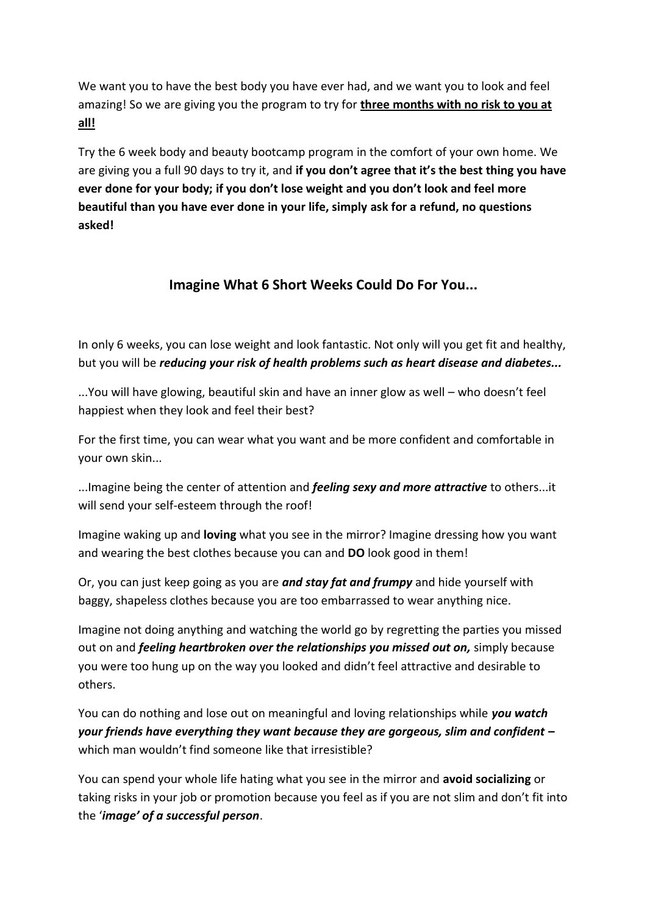We want you to have the best body you have ever had, and we want you to look and feel amazing! So we are giving you the program to try for **three months with no risk to you at all!**

Try the 6 week body and beauty bootcamp program in the comfort of your own home. We are giving you a full 90 days to try it, and **if you don't agree that it's the best thing you have ever done for your body; if you don't lose weight and you don't look and feel more beautiful than you have ever done in your life, simply ask for a refund, no questions asked!**

## **Imagine What 6 Short Weeks Could Do For You...**

In only 6 weeks, you can lose weight and look fantastic. Not only will you get fit and healthy, but you will be *reducing your risk of health problems such as heart disease and diabetes...*

...You will have glowing, beautiful skin and have an inner glow as well – who doesn't feel happiest when they look and feel their best?

For the first time, you can wear what you want and be more confident and comfortable in your own skin...

...Imagine being the center of attention and *feeling sexy and more attractive* to others...it will send your self-esteem through the roof!

Imagine waking up and **loving** what you see in the mirror? Imagine dressing how you want and wearing the best clothes because you can and **DO** look good in them!

Or, you can just keep going as you are *and stay fat and frumpy* and hide yourself with baggy, shapeless clothes because you are too embarrassed to wear anything nice.

Imagine not doing anything and watching the world go by regretting the parties you missed out on and *feeling heartbroken over the relationships you missed out on,* simply because you were too hung up on the way you looked and didn't feel attractive and desirable to others.

You can do nothing and lose out on meaningful and loving relationships while *you watch your friends have everything they want because they are gorgeous, slim and confident –* which man wouldn't find someone like that irresistible?

You can spend your whole life hating what you see in the mirror and **avoid socializing** or taking risks in your job or promotion because you feel as if you are not slim and don't fit into the '*image' of a successful person*.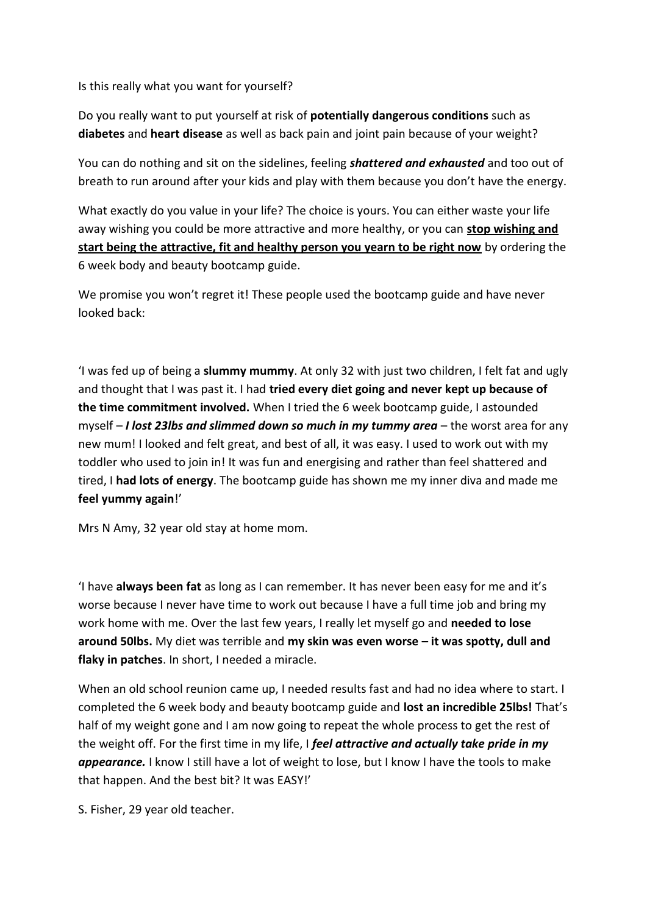Is this really what you want for yourself?

Do you really want to put yourself at risk of **potentially dangerous conditions** such as **diabetes** and **heart disease** as well as back pain and joint pain because of your weight?

You can do nothing and sit on the sidelines, feeling *shattered and exhausted* and too out of breath to run around after your kids and play with them because you don't have the energy.

What exactly do you value in your life? The choice is yours. You can either waste your life away wishing you could be more attractive and more healthy, or you can **stop wishing and start being the attractive, fit and healthy person you yearn to be right now** by ordering the 6 week body and beauty bootcamp guide.

We promise you won't regret it! These people used the bootcamp guide and have never looked back:

'I was fed up of being a **slummy mummy**. At only 32 with just two children, I felt fat and ugly and thought that I was past it. I had **tried every diet going and never kept up because of the time commitment involved.** When I tried the 6 week bootcamp guide, I astounded myself – *I lost 23lbs and slimmed down so much in my tummy area* – the worst area for any new mum! I looked and felt great, and best of all, it was easy. I used to work out with my toddler who used to join in! It was fun and energising and rather than feel shattered and tired, I **had lots of energy**. The bootcamp guide has shown me my inner diva and made me **feel yummy again**!'

Mrs N Amy, 32 year old stay at home mom.

'I have **always been fat** as long as I can remember. It has never been easy for me and it's worse because I never have time to work out because I have a full time job and bring my work home with me. Over the last few years, I really let myself go and **needed to lose around 50lbs.** My diet was terrible and **my skin was even worse – it was spotty, dull and flaky in patches**. In short, I needed a miracle.

When an old school reunion came up, I needed results fast and had no idea where to start. I completed the 6 week body and beauty bootcamp guide and **lost an incredible 25lbs!** That's half of my weight gone and I am now going to repeat the whole process to get the rest of the weight off. For the first time in my life, I *feel attractive and actually take pride in my appearance.* I know I still have a lot of weight to lose, but I know I have the tools to make that happen. And the best bit? It was EASY!'

S. Fisher, 29 year old teacher.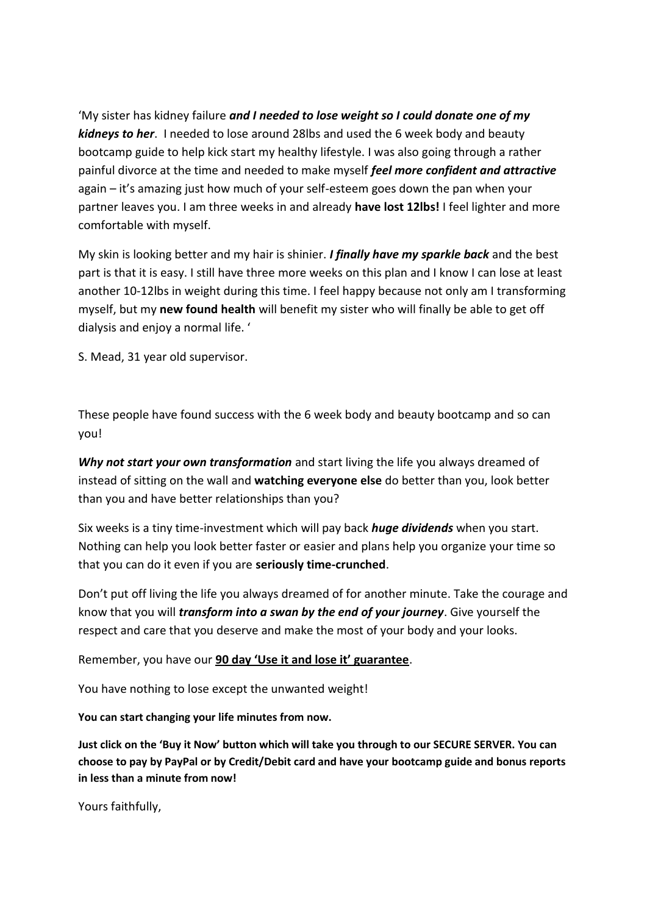'My sister has kidney failure *and I needed to lose weight so I could donate one of my kidneys to her*. I needed to lose around 28lbs and used the 6 week body and beauty bootcamp guide to help kick start my healthy lifestyle. I was also going through a rather painful divorce at the time and needed to make myself *feel more confident and attractive* again – it's amazing just how much of your self-esteem goes down the pan when your partner leaves you. I am three weeks in and already **have lost 12lbs!** I feel lighter and more comfortable with myself.

My skin is looking better and my hair is shinier. *I finally have my sparkle back* and the best part is that it is easy. I still have three more weeks on this plan and I know I can lose at least another 10-12lbs in weight during this time. I feel happy because not only am I transforming myself, but my **new found health** will benefit my sister who will finally be able to get off dialysis and enjoy a normal life. '

S. Mead, 31 year old supervisor.

These people have found success with the 6 week body and beauty bootcamp and so can you!

*Why not start your own transformation* and start living the life you always dreamed of instead of sitting on the wall and **watching everyone else** do better than you, look better than you and have better relationships than you?

Six weeks is a tiny time-investment which will pay back *huge dividends* when you start. Nothing can help you look better faster or easier and plans help you organize your time so that you can do it even if you are **seriously time-crunched**.

Don't put off living the life you always dreamed of for another minute. Take the courage and know that you will *transform into a swan by the end of your journey*. Give yourself the respect and care that you deserve and make the most of your body and your looks.

Remember, you have our **90 day 'Use it and lose it' guarantee**.

You have nothing to lose except the unwanted weight!

**You can start changing your life minutes from now.** 

**Just click on the 'Buy it Now' button which will take you through to our SECURE SERVER. You can choose to pay by PayPal or by Credit/Debit card and have your bootcamp guide and bonus reports in less than a minute from now!**

Yours faithfully,